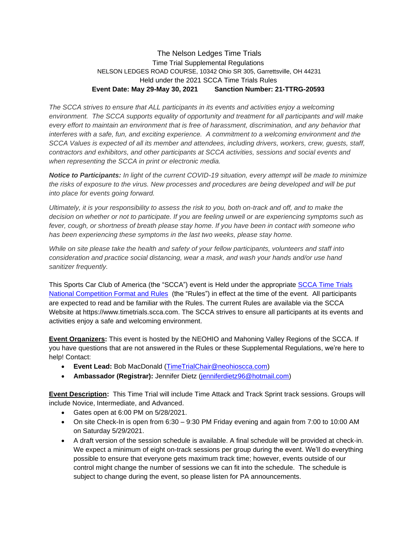## The Nelson Ledges Time Trials Time Trial Supplemental Regulations NELSON LEDGES ROAD COURSE, 10342 Ohio SR 305, Garrettsville, OH 44231 Held under the 2021 SCCA Time Trials Rules **Event Date: May 29-May 30, 2021 Sanction Number: 21-TTRG-20593**

*The SCCA strives to ensure that ALL participants in its events and activities enjoy a welcoming environment. The SCCA supports equality of opportunity and treatment for all participants and will make every effort to maintain an environment that is free of harassment, discrimination, and any behavior that interferes with a safe, fun, and exciting experience. A commitment to a welcoming environment and the SCCA Values is expected of all its member and attendees, including drivers, workers, crew, guests, staff, contractors and exhibitors, and other participants at SCCA activities, sessions and social events and when representing the SCCA in print or electronic media.*

*Notice to Participants: In light of the current COVID-19 situation, every attempt will be made to minimize the risks of exposure to the virus. New processes and procedures are being developed and will be put into place for events going forward.*

*Ultimately, it is your responsibility to assess the risk to you, both on-track and off, and to make the decision on whether or not to participate. If you are feeling unwell or are experiencing symptoms such as fever, cough, or shortness of breath please stay home. If you have been in contact with someone who has been experiencing these symptoms in the last two weeks, please stay home.*

*While on site please take the health and safety of your fellow participants, volunteers and staff into consideration and practice social distancing, wear a mask, and wash your hands and/or use hand sanitizer frequently.*

This Sports Car Club of America (the "SCCA") event is Held under the appropriate [SCCA Time Trials](https://timetrials.scca.com/pages/national-competition-full-rules/) [National Competition Format and Rules](https://timetrials.scca.com/pages/national-competition-full-rules/) (the "Rules") in effect at the time of the event. All participants are expected to read and be familiar with the Rules. The current Rules are available via the SCCA Website at https://www.timetrials.scca.com. The SCCA strives to ensure all participants at its events and activities enjoy a safe and welcoming environment.

**Event Organizers:** This event is hosted by the NEOHIO and Mahoning Valley Regions of the SCCA. If you have questions that are not answered in the Rules or these Supplemental Regulations, we're here to help! Contact:

- **Event Lead:** Bob MacDonald [\(TimeTrialChair@neohioscca.com\)](mailto:TimeTrialChair@neohioscca.com)
- **Ambassador (Registrar):** Jennifer Dietz [\(jenniferdietz96@hotmail.com\)](mailto:jenniferdietz96@hotmail.com)

**Event Description:** This Time Trial will include Time Attack and Track Sprint track sessions. Groups will include Novice, Intermediate, and Advanced.

- Gates open at 6:00 PM on 5/28/2021.
- On site Check-In is open from 6:30 9:30 PM Friday evening and again from 7:00 to 10:00 AM on Saturday 5/29/2021.
- A draft version of the session schedule is available. A final schedule will be provided at check-in. We expect a minimum of eight on-track sessions per group during the event. We'll do everything possible to ensure that everyone gets maximum track time; however, events outside of our control might change the number of sessions we can fit into the schedule. The schedule is subject to change during the event, so please listen for PA announcements.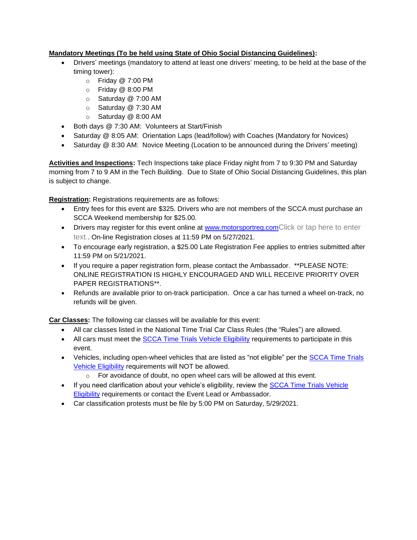## **Mandatory Meetings (To be held using State of Ohio Social Distancing Guidelines):**

- Drivers' meetings (mandatory to attend at least one drivers' meeting, to be held at the base of the timing tower):
	- o Friday @ 7:00 PM
	- o Friday @ 8:00 PM
	- o Saturday @ 7:00 AM
	- o Saturday @ 7:30 AM
	- o Saturday @ 8:00 AM
- Both days @ 7:30 AM: Volunteers at Start/Finish
- Saturday @ 8:05 AM: Orientation Laps (lead/follow) with Coaches (Mandatory for Novices)
- Saturday @ 8:30 AM: Novice Meeting (Location to be announced during the Drivers' meeting)

**Activities and Inspections:** Tech Inspections take place Friday night from 7 to 9:30 PM and Saturday morning from 7 to 9 AM in the Tech Building. Due to State of Ohio Social Distancing Guidelines, this plan is subject to change.

**Registration:** Registrations requirements are as follows:

- Entry fees for this event are \$325. Drivers who are not members of the SCCA must purchase an SCCA Weekend membership for \$25.00.
- Drivers may register for this event online at<www.motorsportreg.com>Click or tap here to enter text.. On-line Registration closes at 11:59 PM on 5/27/2021.
- To encourage early registration, a \$25.00 Late Registration Fee applies to entries submitted after 11:59 PM on 5/21/2021.
- If you require a paper registration form, please contact the Ambassador. \*\*PLEASE NOTE: ONLINE REGISTRATION IS HIGHLY ENCOURAGED AND WILL RECEIVE PRIORITY OVER PAPER REGISTRATIONS\*\*.
- Refunds are available prior to on-track participation. Once a car has turned a wheel on-track, no refunds will be given.

**Car Classes:** The following car classes will be available for this event:

- All car classes listed in the National Time Trial Car Class Rules (the "Rules") are allowed.
- All cars must meet the [SCCA Time Trials Vehicle Eligibility](https://timetrials.scca.com/pages/vehicle-eligibility) requirements to participate in this event.
- Vehicles, including open-wheel vehicles that are listed as "not eligible" per the SCCA Time Trials [Vehicle Eligibility](https://timetrials.scca.com/pages/vehicle-eligibility) requirements will NOT be allowed.
	- o For avoidance of doubt, no open wheel cars will be allowed at this event.
- If you need clarification about your vehicle's eligibility, review the SCCA Time Trials Vehicle **[Eligibility](https://timetrials.scca.com/pages/vehicle-eligibility) requirements or contact the Event Lead or Ambassador.**
- Car classification protests must be file by 5:00 PM on Saturday, 5/29/2021.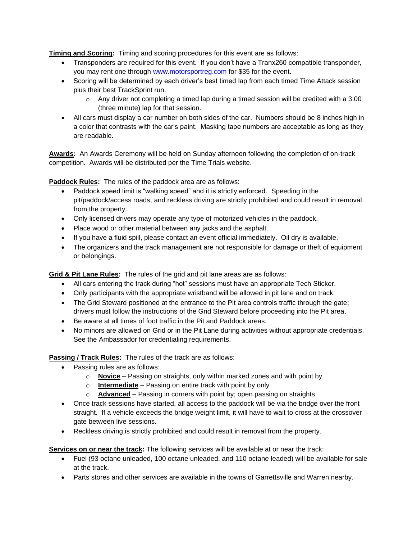**Timing and Scoring:** Timing and scoring procedures for this event are as follows:

- Transponders are required for this event. If you don't have a Tranx260 compatible transponder, you may rent one through [www.motorsportreg.com](https://triviumpackaging-my.sharepoint.com/personal/brian_vondran_triviumpackaging_com/Documents/SCCA/Time%20Trial%202021/www.motorsportreg.com) for \$35 for the event.
- Scoring will be determined by each driver's best timed lap from each timed Time Attack session plus their best TrackSprint run.
	- $\circ$  Any driver not completing a timed lap during a timed session will be credited with a 3:00 (three minute) lap for that session.
- All cars must display a car number on both sides of the car. Numbers should be 8 inches high in a color that contrasts with the car's paint. Masking tape numbers are acceptable as long as they are readable.

**Awards:** An Awards Ceremony will be held on Sunday afternoon following the completion of on-track competition. Awards will be distributed per the Time Trials website.

**Paddock Rules:** The rules of the paddock area are as follows:

- Paddock speed limit is "walking speed" and it is strictly enforced. Speeding in the pit/paddock/access roads, and reckless driving are strictly prohibited and could result in removal from the property.
- Only licensed drivers may operate any type of motorized vehicles in the paddock.
- Place wood or other material between any jacks and the asphalt.
- If you have a fluid spill, please contact an event official immediately. Oil dry is available.
- The organizers and the track management are not responsible for damage or theft of equipment or belongings.

**Grid & Pit Lane Rules:** The rules of the grid and pit lane areas are as follows:

- All cars entering the track during "hot" sessions must have an appropriate Tech Sticker.
- Only participants with the appropriate wristband will be allowed in pit lane and on track.
- The Grid Steward positioned at the entrance to the Pit area controls traffic through the gate; drivers must follow the instructions of the Grid Steward before proceeding into the Pit area.
- Be aware at all times of foot traffic in the Pit and Paddock areas.
- No minors are allowed on Grid or in the Pit Lane during activities without appropriate credentials. See the Ambassador for credentialing requirements.

**Passing / Track Rules:** The rules of the track are as follows:

- Passing rules are as follows:
	- o **Novice** Passing on straights, only within marked zones and with point by
	- o **Intermediate** Passing on entire track with point by only
	- o **Advanced** Passing in corners with point by; open passing on straights
- Once track sessions have started, all access to the paddock will be via the bridge over the front straight. If a vehicle exceeds the bridge weight limit, it will have to wait to cross at the crossover gate between live sessions.
- Reckless driving is strictly prohibited and could result in removal from the property.

**Services on or near the track:** The following services will be available at or near the track:

- Fuel (93 octane unleaded, 100 octane unleaded, and 110 octane leaded) will be available for sale at the track.
- Parts stores and other services are available in the towns of Garrettsville and Warren nearby.